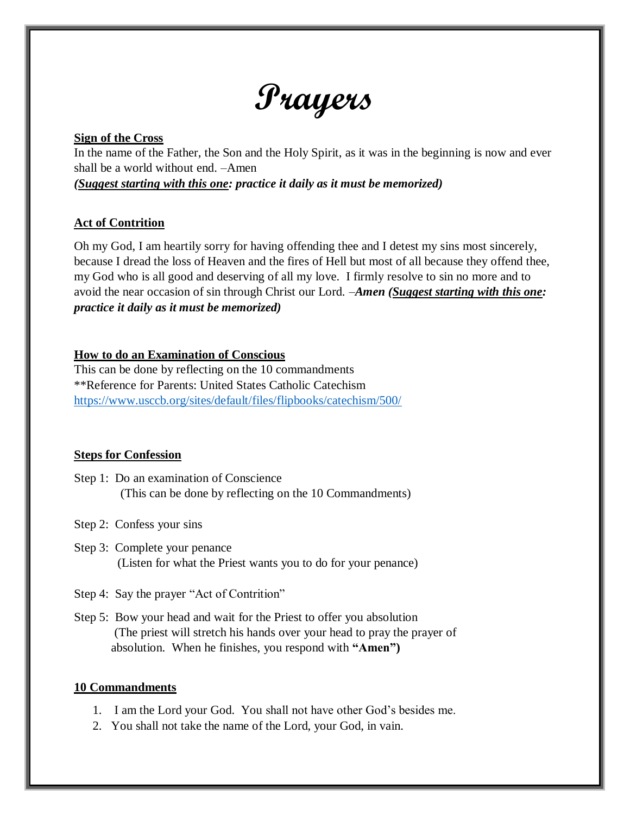# **Prayers**

#### **Sign of the Cross**

In the name of the Father, the Son and the Holy Spirit, as it was in the beginning is now and ever shall be a world without end. –Amen

*(Suggest starting with this one: practice it daily as it must be memorized)*

## **Act of Contrition**

Oh my God, I am heartily sorry for having offending thee and I detest my sins most sincerely, because I dread the loss of Heaven and the fires of Hell but most of all because they offend thee, my God who is all good and deserving of all my love. I firmly resolve to sin no more and to avoid the near occasion of sin through Christ our Lord. –*Amen (Suggest starting with this one: practice it daily as it must be memorized)*

## **How to do an Examination of Conscious**

This can be done by reflecting on the 10 commandments \*\*Reference for Parents: United States Catholic Catechism <https://www.usccb.org/sites/default/files/flipbooks/catechism/500/>

## **Steps for Confession**

- Step 1: Do an examination of Conscience (This can be done by reflecting on the 10 Commandments)
- Step 2: Confess your sins
- Step 3: Complete your penance (Listen for what the Priest wants you to do for your penance)
- Step 4: Say the prayer "Act of Contrition"
- Step 5: Bow your head and wait for the Priest to offer you absolution (The priest will stretch his hands over your head to pray the prayer of absolution. When he finishes, you respond with **"Amen")**

## **10 Commandments**

- 1. I am the Lord your God. You shall not have other God's besides me.
- 2. You shall not take the name of the Lord, your God, in vain.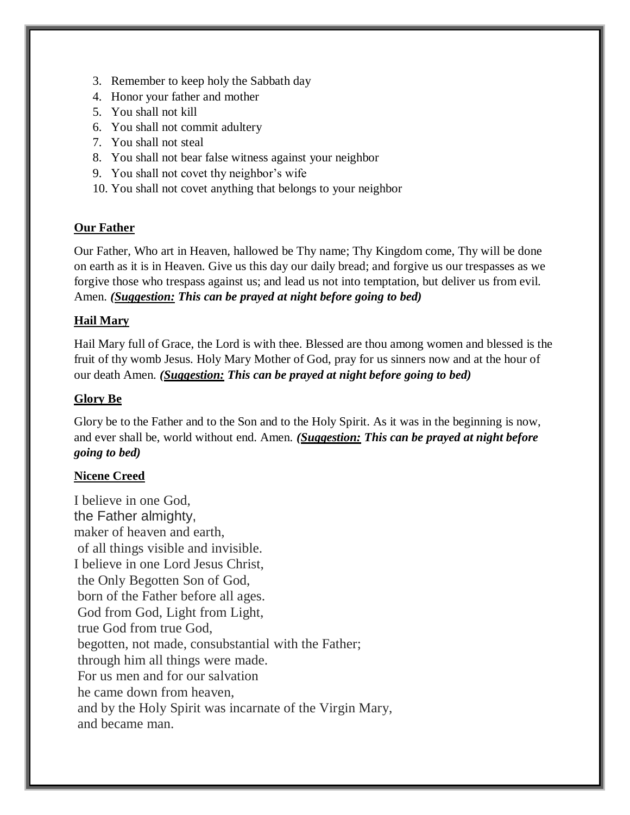- 3. Remember to keep holy the Sabbath day
- 4. Honor your father and mother
- 5. You shall not kill
- 6. You shall not commit adultery
- 7. You shall not steal
- 8. You shall not bear false witness against your neighbor
- 9. You shall not covet thy neighbor's wife
- 10. You shall not covet anything that belongs to your neighbor

#### **Our Father**

Our Father, Who art in Heaven, hallowed be Thy name; Thy Kingdom come, Thy will be done on earth as it is in Heaven. Give us this day our daily bread; and forgive us our trespasses as we forgive those who trespass against us; and lead us not into temptation, but deliver us from evil. Amen. *(Suggestion: This can be prayed at night before going to bed)*

#### **Hail Mary**

Hail Mary full of Grace, the Lord is with thee. Blessed are thou among women and blessed is the fruit of thy womb Jesus. Holy Mary Mother of God, pray for us sinners now and at the hour of our death Amen. *(Suggestion: This can be prayed at night before going to bed)*

## **Glory Be**

Glory be to the Father and to the Son and to the Holy Spirit. As it was in the beginning is now, and ever shall be, world without end. Amen. *(Suggestion: This can be prayed at night before going to bed)*

## **Nicene Creed**

I believe in one God, the Father almighty, maker of heaven and earth, of all things visible and invisible. I believe in one Lord Jesus Christ, the Only Begotten Son of God, born of the Father before all ages. God from God, Light from Light, true God from true God, begotten, not made, consubstantial with the Father; through him all things were made. For us men and for our salvation he came down from heaven, and by the Holy Spirit was incarnate of the Virgin Mary, and became man.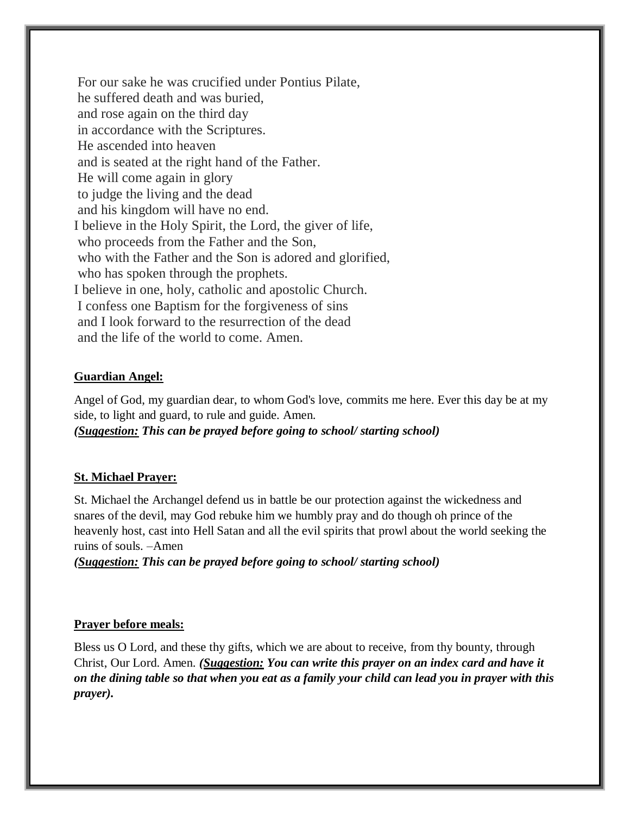For our sake he was crucified under Pontius Pilate, he suffered death and was buried, and rose again on the third day in accordance with the Scriptures. He ascended into heaven and is seated at the right hand of the Father. He will come again in glory to judge the living and the dead and his kingdom will have no end. I believe in the Holy Spirit, the Lord, the giver of life, who proceeds from the Father and the Son, who with the Father and the Son is adored and glorified, who has spoken through the prophets. I believe in one, holy, catholic and apostolic Church. I confess one Baptism for the forgiveness of sins and I look forward to the resurrection of the dead and the life of the world to come. Amen.

## **Guardian Angel:**

Angel of God, my guardian dear, to whom God's love, commits me here. Ever this day be at my side, to light and guard, to rule and guide. Amen. *(Suggestion: This can be prayed before going to school/ starting school)*

## **St. Michael Prayer:**

St. Michael the Archangel defend us in battle be our protection against the wickedness and snares of the devil, may God rebuke him we humbly pray and do though oh prince of the heavenly host, cast into Hell Satan and all the evil spirits that prowl about the world seeking the ruins of souls. –Amen

*(Suggestion: This can be prayed before going to school/ starting school)*

## **Prayer before meals:**

Bless us O Lord, and these thy gifts, which we are about to receive, from thy bounty, through Christ, Our Lord. Amen. *(Suggestion: You can write this prayer on an index card and have it on the dining table so that when you eat as a family your child can lead you in prayer with this prayer).*